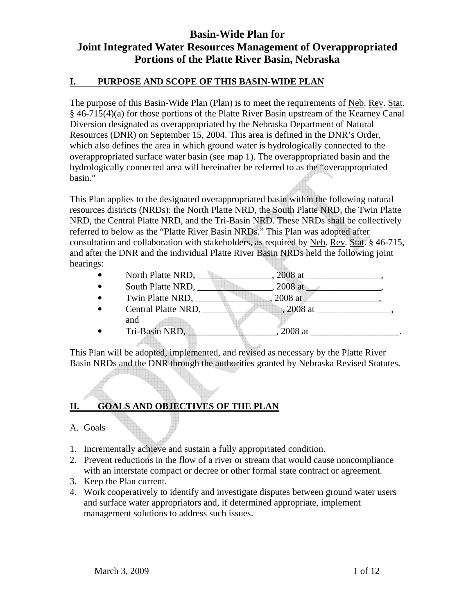## **I. PURPOSE AND SCOPE OF THIS BASIN-WIDE PLAN**

The purpose of this Basin-Wide Plan (Plan) is to meet the requirements of Neb. Rev. Stat. § 46-715(4)(a) for those portions of the Platte River Basin upstream of the Kearney Canal Diversion designated as overappropriated by the Nebraska Department of Natural Resources (DNR) on September 15, 2004. This area is defined in the DNR's Order, which also defines the area in which ground water is hydrologically connected to the overappropriated surface water basin (see map 1). The overappropriated basin and the hydrologically connected area will hereinafter be referred to as the "overappropriated basin."

This Plan applies to the designated overappropriated basin within the following natural resources districts (NRDs): the North Platte NRD, the South Platte NRD, the Twin Platte NRD, the Central Platte NRD, and the Tri-Basin NRD. These NRDs shall be collectively referred to below as the "Platte River Basin NRDs." This Plan was adopted after consultation and collaboration with stakeholders, as required by Neb. Rev. Stat. § 46-715, and after the DNR and the individual Platte River Basin NRDs held the following joint hearings:

- North Platte NRD,  $\qquad \qquad 2008 \text{ at } \qquad \qquad$
- South Platte NRD,  $\qquad \qquad .2008$  at  $\qquad \qquad .2008$ ,  $\qquad \qquad .2008$
- Twin Platte NRD,  $\qquad \qquad \qquad .2008 \text{ at } \qquad \qquad .2008$
- Central Platte NRD,  $\qquad \qquad 2008$  at  $\qquad \qquad$ and • Tri-Basin NRD,  $\qquad \qquad$  2008 at \_\_\_\_\_\_\_\_\_\_\_\_\_\_\_.

This Plan will be adopted, implemented, and revised as necessary by the Platte River Basin NRDs and the DNR through the authorities granted by Nebraska Revised Statutes.

# **II. GOALS AND OBJECTIVES OF THE PLAN**

### A. Goals

- 1. Incrementally achieve and sustain a fully appropriated condition.
- 2. Prevent reductions in the flow of a river or stream that would cause noncompliance with an interstate compact or decree or other formal state contract or agreement.
- 3. Keep the Plan current.
- 4. Work cooperatively to identify and investigate disputes between ground water users and surface water appropriators and, if determined appropriate, implement management solutions to address such issues.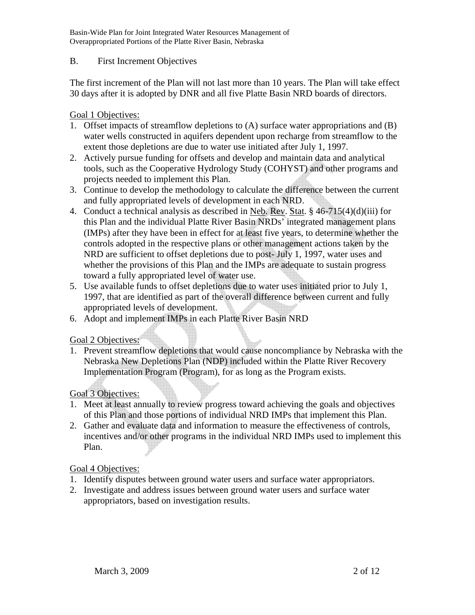### B. First Increment Objectives

The first increment of the Plan will not last more than 10 years. The Plan will take effect 30 days after it is adopted by DNR and all five Platte Basin NRD boards of directors.

## Goal 1 Objectives:

- 1. Offset impacts of streamflow depletions to (A) surface water appropriations and (B) water wells constructed in aquifers dependent upon recharge from streamflow to the extent those depletions are due to water use initiated after July 1, 1997.
- 2. Actively pursue funding for offsets and develop and maintain data and analytical tools, such as the Cooperative Hydrology Study (COHYST) and other programs and projects needed to implement this Plan.
- 3. Continue to develop the methodology to calculate the difference between the current and fully appropriated levels of development in each NRD.
- 4. Conduct a technical analysis as described in Neb. Rev. Stat. § 46-715(4)(d)(iii) for this Plan and the individual Platte River Basin NRDs' integrated management plans (IMPs) after they have been in effect for at least five years, to determine whether the controls adopted in the respective plans or other management actions taken by the NRD are sufficient to offset depletions due to post- July 1, 1997, water uses and whether the provisions of this Plan and the IMPs are adequate to sustain progress toward a fully appropriated level of water use.
- 5. Use available funds to offset depletions due to water uses initiated prior to July 1, 1997, that are identified as part of the overall difference between current and fully appropriated levels of development.
- 6. Adopt and implement IMPs in each Platte River Basin NRD

### Goal 2 Objectives:

1. Prevent streamflow depletions that would cause noncompliance by Nebraska with the Nebraska New Depletions Plan (NDP) included within the Platte River Recovery Implementation Program (Program), for as long as the Program exists.

# Goal 3 Objectives:

- 1. Meet at least annually to review progress toward achieving the goals and objectives of this Plan and those portions of individual NRD IMPs that implement this Plan.
- 2. Gather and evaluate data and information to measure the effectiveness of controls, incentives and/or other programs in the individual NRD IMPs used to implement this Plan.

# Goal 4 Objectives:

- 1. Identify disputes between ground water users and surface water appropriators.
- 2. Investigate and address issues between ground water users and surface water appropriators, based on investigation results.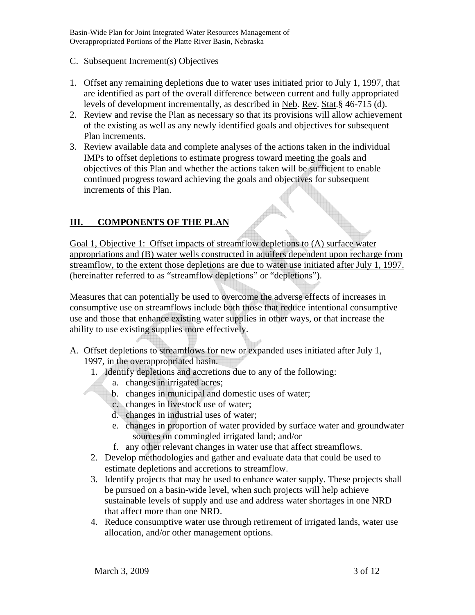- C. Subsequent Increment(s) Objectives
- 1. Offset any remaining depletions due to water uses initiated prior to July 1, 1997, that are identified as part of the overall difference between current and fully appropriated levels of development incrementally, as described in Neb. Rev. Stat.§ 46-715 (d).
- 2. Review and revise the Plan as necessary so that its provisions will allow achievement of the existing as well as any newly identified goals and objectives for subsequent Plan increments.
- 3. Review available data and complete analyses of the actions taken in the individual IMPs to offset depletions to estimate progress toward meeting the goals and objectives of this Plan and whether the actions taken will be sufficient to enable continued progress toward achieving the goals and objectives for subsequent increments of this Plan.

## **III. COMPONENTS OF THE PLAN**

Goal 1, Objective 1: Offset impacts of streamflow depletions to (A) surface water appropriations and (B) water wells constructed in aquifers dependent upon recharge from streamflow, to the extent those depletions are due to water use initiated after July 1, 1997. (hereinafter referred to as "streamflow depletions" or "depletions").

Measures that can potentially be used to overcome the adverse effects of increases in consumptive use on streamflows include both those that reduce intentional consumptive use and those that enhance existing water supplies in other ways, or that increase the ability to use existing supplies more effectively.

- A. Offset depletions to streamflows for new or expanded uses initiated after July 1, 1997, in the overappropriated basin.
	- 1. Identify depletions and accretions due to any of the following:
		- a. changes in irrigated acres;
		- b. changes in municipal and domestic uses of water;
		- c. changes in livestock use of water;
		- d. changes in industrial uses of water;
		- e. changes in proportion of water provided by surface water and groundwater sources on commingled irrigated land; and/or
		- f. any other relevant changes in water use that affect streamflows.
	- 2. Develop methodologies and gather and evaluate data that could be used to estimate depletions and accretions to streamflow.
	- 3. Identify projects that may be used to enhance water supply. These projects shall be pursued on a basin-wide level, when such projects will help achieve sustainable levels of supply and use and address water shortages in one NRD that affect more than one NRD.
	- 4. Reduce consumptive water use through retirement of irrigated lands, water use allocation, and/or other management options.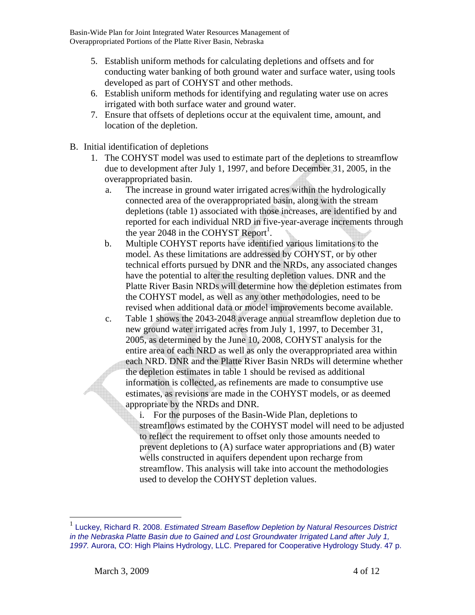- 5. Establish uniform methods for calculating depletions and offsets and for conducting water banking of both ground water and surface water, using tools developed as part of COHYST and other methods.
- 6. Establish uniform methods for identifying and regulating water use on acres irrigated with both surface water and ground water.
- 7. Ensure that offsets of depletions occur at the equivalent time, amount, and location of the depletion.
- B. Initial identification of depletions
	- 1. The COHYST model was used to estimate part of the depletions to streamflow due to development after July 1, 1997, and before December 31, 2005, in the overappropriated basin.
		- a. The increase in ground water irrigated acres within the hydrologically connected area of the overappropriated basin, along with the stream depletions (table 1) associated with those increases, are identified by and reported for each individual NRD in five-year-average increments through the year 2048 in the COHYST Report<sup>1</sup>.
		- b. Multiple COHYST reports have identified various limitations to the model. As these limitations are addressed by COHYST, or by other technical efforts pursued by DNR and the NRDs, any associated changes have the potential to alter the resulting depletion values. DNR and the Platte River Basin NRDs will determine how the depletion estimates from the COHYST model, as well as any other methodologies, need to be revised when additional data or model improvements become available.
		- c. Table 1 shows the 2043-2048 average annual streamflow depletion due to new ground water irrigated acres from July 1, 1997, to December 31, 2005, as determined by the June 10, 2008, COHYST analysis for the entire area of each NRD as well as only the overappropriated area within each NRD. DNR and the Platte River Basin NRDs will determine whether the depletion estimates in table 1 should be revised as additional information is collected, as refinements are made to consumptive use estimates, as revisions are made in the COHYST models, or as deemed appropriate by the NRDs and DNR.
			- i. For the purposes of the Basin-Wide Plan, depletions to streamflows estimated by the COHYST model will need to be adjusted to reflect the requirement to offset only those amounts needed to prevent depletions to (A) surface water appropriations and (B) water wells constructed in aquifers dependent upon recharge from streamflow. This analysis will take into account the methodologies used to develop the COHYST depletion values.

<u>.</u>

<sup>1</sup> Luckey, Richard R. 2008. *Estimated Stream Baseflow Depletion by Natural Resources District in the Nebraska Platte Basin due to Gained and Lost Groundwater Irrigated Land after July 1, 1997.* Aurora, CO: High Plains Hydrology, LLC. Prepared for Cooperative Hydrology Study. 47 p.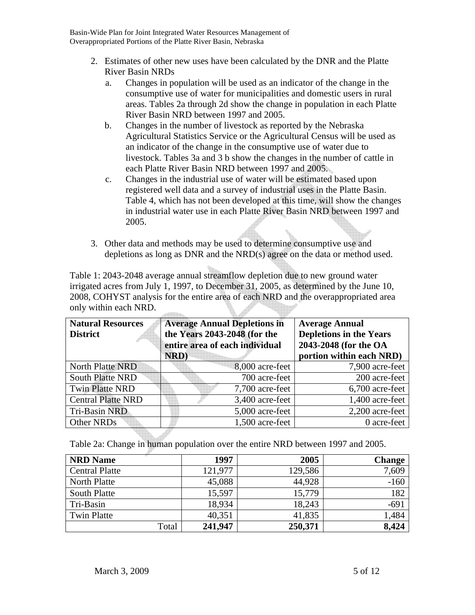- 2. Estimates of other new uses have been calculated by the DNR and the Platte River Basin NRDs
	- a. Changes in population will be used as an indicator of the change in the consumptive use of water for municipalities and domestic users in rural areas. Tables 2a through 2d show the change in population in each Platte River Basin NRD between 1997 and 2005.
	- b. Changes in the number of livestock as reported by the Nebraska Agricultural Statistics Service or the Agricultural Census will be used as an indicator of the change in the consumptive use of water due to livestock. Tables 3a and 3 b show the changes in the number of cattle in each Platte River Basin NRD between 1997 and 2005.
	- c. Changes in the industrial use of water will be estimated based upon registered well data and a survey of industrial uses in the Platte Basin. Table 4, which has not been developed at this time, will show the changes in industrial water use in each Platte River Basin NRD between 1997 and 2005.
- 3. Other data and methods may be used to determine consumptive use and depletions as long as DNR and the NRD(s) agree on the data or method used.

Table 1: 2043-2048 average annual streamflow depletion due to new ground water irrigated acres from July 1, 1997, to December 31, 2005, as determined by the June 10, 2008, COHYST analysis for the entire area of each NRD and the overappropriated area only within each NRD.

| <b>Natural Resources</b><br><b>District</b> | <b>Average Annual Depletions in</b><br>the Years 2043-2048 (for the<br>entire area of each individual<br>NRD) | <b>Average Annual</b><br><b>Depletions in the Years</b><br>2043-2048 (for the OA<br>portion within each NRD) |
|---------------------------------------------|---------------------------------------------------------------------------------------------------------------|--------------------------------------------------------------------------------------------------------------|
| <b>North Platte NRD</b>                     | 8,000 acre-feet                                                                                               | 7,900 acre-feet                                                                                              |
| <b>South Platte NRD</b>                     | 700 acre-feet                                                                                                 | 200 acre-feet                                                                                                |
| <b>Twin Platte NRD</b>                      | 7,700 acre-feet                                                                                               | 6,700 acre-feet                                                                                              |
| <b>Central Platte NRD</b>                   | 3,400 acre-feet                                                                                               | 1,400 acre-feet                                                                                              |
| Tri-Basin NRD                               | 5,000 acre-feet                                                                                               | 2,200 acre-feet                                                                                              |
| Other NRDs                                  | 1,500 acre-feet                                                                                               | 0 acre-feet                                                                                                  |

Table 2a: Change in human population over the entire NRD between 1997 and 2005.

| <b>NRD Name</b>       | 1997    | 2005    | <b>Change</b> |
|-----------------------|---------|---------|---------------|
| <b>Central Platte</b> | 121,977 | 129,586 | 7,609         |
| North Platte          | 45,088  | 44,928  | $-160$        |
| South Platte          | 15,597  | 15,779  | 182           |
| Tri-Basin             | 18,934  | 18,243  | $-691$        |
| <b>Twin Platte</b>    | 40,351  | 41,835  | 1,484         |
| Total                 | 241,947 | 250,371 | 8,424         |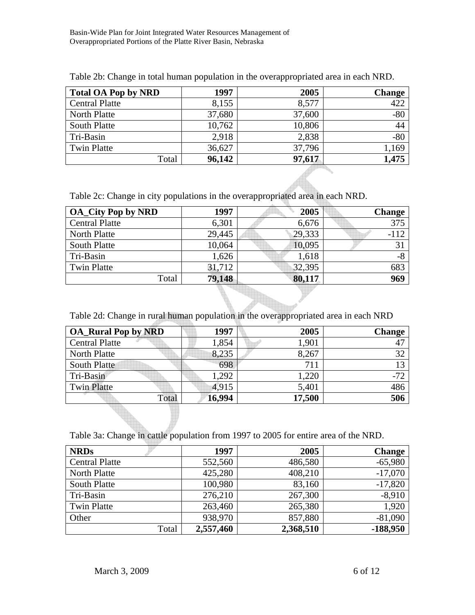| <b>Total OA Pop by NRD</b> | 1997   | 2005   | <b>Change</b> |
|----------------------------|--------|--------|---------------|
| <b>Central Platte</b>      | 8,155  | 8,577  | 422           |
| North Platte               | 37,680 | 37,600 | $-80$         |
| <b>South Platte</b>        | 10,762 | 10,806 | 44            |
| Tri-Basin                  | 2,918  | 2,838  | $-80$         |
| <b>Twin Platte</b>         | 36,627 | 37,796 | 1,169         |
| Total                      | 96,142 | 97,617 | 1,475         |

Table 2b: Change in total human population in the overappropriated area in each NRD.

Table 2c: Change in city populations in the overappropriated area in each NRD.

| <b>OA_City Pop by NRD</b> | 1997   | 2005   | <b>Change</b> |
|---------------------------|--------|--------|---------------|
| <b>Central Platte</b>     | 6,301  | 6,676  | 375           |
| North Platte              | 29,445 | 29,333 | $-112$        |
| South Platte              | 10,064 | 10,095 | 31            |
| Tri-Basin                 | 1,626  | 1,618  | $-8$          |
| <b>Twin Platte</b>        | 31,712 | 32,395 | 683           |
| Total                     | 79,148 | 80,117 | 969           |

Table 2d: Change in rural human population in the overappropriated area in each NRD

| <b>OA_Rural Pop by NRD</b> | 1997   | 2005   | <b>Change</b> |
|----------------------------|--------|--------|---------------|
| <b>Central Platte</b>      | 1,854  | 1,901  | 47            |
| North Platte               | 8,235  | 8,267  | 32            |
| South Platte               | 698    | 711    | 13            |
| Tri-Basin                  | 1,292  | 1,220  | $-72$         |
| <b>Twin Platte</b>         | 4,915  | 5,401  | 486           |
| Total                      | 16,994 | 17,500 | 506           |

Table 3a: Change in cattle population from 1997 to 2005 for entire area of the NRD.

| <b>NRDs</b>           | 1997      | 2005      | <b>Change</b> |
|-----------------------|-----------|-----------|---------------|
| <b>Central Platte</b> | 552,560   | 486,580   | $-65,980$     |
| North Platte          | 425,280   | 408,210   | $-17,070$     |
| <b>South Platte</b>   | 100,980   | 83,160    | $-17,820$     |
| Tri-Basin             | 276,210   | 267,300   | $-8,910$      |
| <b>Twin Platte</b>    | 263,460   | 265,380   | 1,920         |
| Other                 | 938,970   | 857,880   | $-81,090$     |
| Total                 | 2,557,460 | 2,368,510 | $-188,950$    |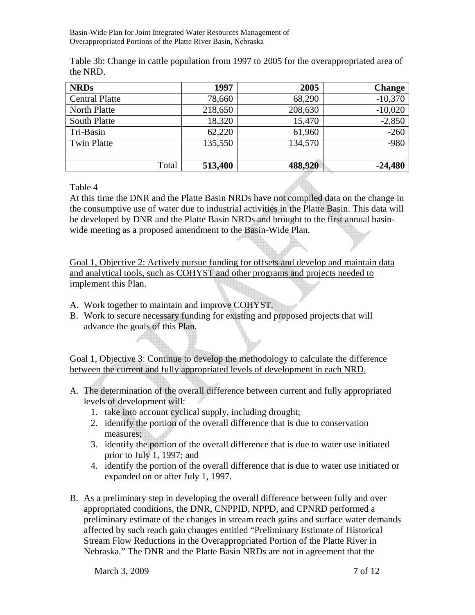Table 3b: Change in cattle population from 1997 to 2005 for the overappropriated area of the NRD.

| <b>NRDs</b>           | 1997    | 2005    | <b>Change</b> |
|-----------------------|---------|---------|---------------|
| <b>Central Platte</b> | 78,660  | 68,290  | $-10,370$     |
| North Platte          | 218,650 | 208,630 | $-10,020$     |
| <b>South Platte</b>   | 18,320  | 15,470  | $-2,850$      |
| Tri-Basin             | 62,220  | 61,960  | $-260$        |
| <b>Twin Platte</b>    | 135,550 | 134,570 | $-980$        |
|                       |         |         |               |
| Total                 | 513,400 | 488,920 | $-24,480$     |

Table 4

At this time the DNR and the Platte Basin NRDs have not compiled data on the change in the consumptive use of water due to industrial activities in the Platte Basin. This data will be developed by DNR and the Platte Basin NRDs and brought to the first annual basinwide meeting as a proposed amendment to the Basin-Wide Plan.

Goal 1, Objective 2: Actively pursue funding for offsets and develop and maintain data and analytical tools, such as COHYST and other programs and projects needed to implement this Plan.

- A. Work together to maintain and improve COHYST.
- B. Work to secure necessary funding for existing and proposed projects that will advance the goals of this Plan.

Goal 1, Objective 3: Continue to develop the methodology to calculate the difference between the current and fully appropriated levels of development in each NRD.

- A. The determination of the overall difference between current and fully appropriated levels of development will:
	- 1. take into account cyclical supply, including drought;
	- 2. identify the portion of the overall difference that is due to conservation measures;
	- 3. identify the portion of the overall difference that is due to water use initiated prior to July 1, 1997; and
	- 4. identify the portion of the overall difference that is due to water use initiated or expanded on or after July 1, 1997.
- B. As a preliminary step in developing the overall difference between fully and over appropriated conditions, the DNR, CNPPID, NPPD, and CPNRD performed a preliminary estimate of the changes in stream reach gains and surface water demands affected by such reach gain changes entitled "Preliminary Estimate of Historical Stream Flow Reductions in the Overappropriated Portion of the Platte River in Nebraska." The DNR and the Platte Basin NRDs are not in agreement that the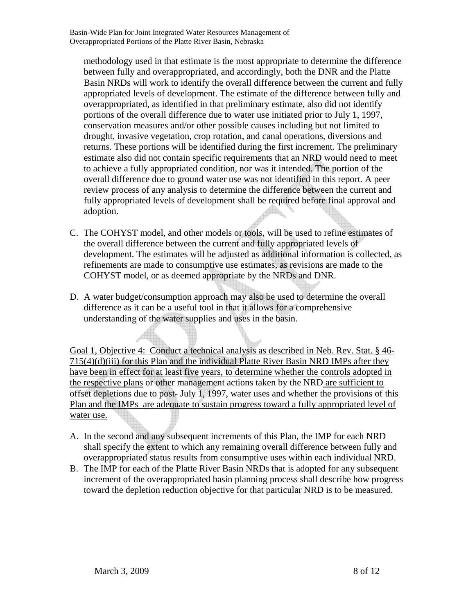methodology used in that estimate is the most appropriate to determine the difference between fully and overappropriated, and accordingly, both the DNR and the Platte Basin NRDs will work to identify the overall difference between the current and fully appropriated levels of development. The estimate of the difference between fully and overappropriated, as identified in that preliminary estimate, also did not identify portions of the overall difference due to water use initiated prior to July 1, 1997, conservation measures and/or other possible causes including but not limited to drought, invasive vegetation, crop rotation, and canal operations, diversions and returns. These portions will be identified during the first increment. The preliminary estimate also did not contain specific requirements that an NRD would need to meet to achieve a fully appropriated condition, nor was it intended. The portion of the overall difference due to ground water use was not identified in this report. A peer review process of any analysis to determine the difference between the current and fully appropriated levels of development shall be required before final approval and adoption.

- C. The COHYST model, and other models or tools, will be used to refine estimates of the overall difference between the current and fully appropriated levels of development. The estimates will be adjusted as additional information is collected, as refinements are made to consumptive use estimates, as revisions are made to the COHYST model, or as deemed appropriate by the NRDs and DNR.
- D. A water budget/consumption approach may also be used to determine the overall difference as it can be a useful tool in that it allows for a comprehensive understanding of the water supplies and uses in the basin.

Goal 1, Objective 4: Conduct a technical analysis as described in Neb. Rev. Stat. § 46- 715(4)(d)(iii) for this Plan and the individual Platte River Basin NRD IMPs after they have been in effect for at least five years, to determine whether the controls adopted in the respective plans or other management actions taken by the NRD are sufficient to offset depletions due to post- July 1, 1997, water uses and whether the provisions of this Plan and the IMPs are adequate to sustain progress toward a fully appropriated level of water use.

- A. In the second and any subsequent increments of this Plan, the IMP for each NRD shall specify the extent to which any remaining overall difference between fully and overappropriated status results from consumptive uses within each individual NRD.
- B. The IMP for each of the Platte River Basin NRDs that is adopted for any subsequent increment of the overappropriated basin planning process shall describe how progress toward the depletion reduction objective for that particular NRD is to be measured.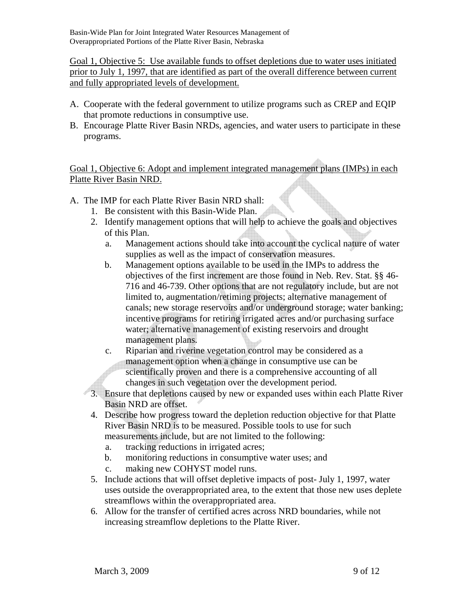Goal 1, Objective 5: Use available funds to offset depletions due to water uses initiated prior to July 1, 1997, that are identified as part of the overall difference between current and fully appropriated levels of development.

- A. Cooperate with the federal government to utilize programs such as CREP and EQIP that promote reductions in consumptive use.
- B. Encourage Platte River Basin NRDs, agencies, and water users to participate in these programs.

Goal 1, Objective 6: Adopt and implement integrated management plans (IMPs) in each Platte River Basin NRD.

- A. The IMP for each Platte River Basin NRD shall:
	- 1. Be consistent with this Basin-Wide Plan.
	- 2. Identify management options that will help to achieve the goals and objectives of this Plan.
		- a. Management actions should take into account the cyclical nature of water supplies as well as the impact of conservation measures.
		- b. Management options available to be used in the IMPs to address the objectives of the first increment are those found in Neb. Rev. Stat. §§ 46- 716 and 46-739. Other options that are not regulatory include, but are not limited to, augmentation/retiming projects; alternative management of canals; new storage reservoirs and/or underground storage; water banking; incentive programs for retiring irrigated acres and/or purchasing surface water; alternative management of existing reservoirs and drought management plans.
		- c. Riparian and riverine vegetation control may be considered as a management option when a change in consumptive use can be scientifically proven and there is a comprehensive accounting of all changes in such vegetation over the development period.
	- 3. Ensure that depletions caused by new or expanded uses within each Platte River Basin NRD are offset.
		- 4. Describe how progress toward the depletion reduction objective for that Platte River Basin NRD is to be measured. Possible tools to use for such measurements include, but are not limited to the following:
			- a. tracking reductions in irrigated acres;
			- b. monitoring reductions in consumptive water uses; and
			- c. making new COHYST model runs.
		- 5. Include actions that will offset depletive impacts of post- July 1, 1997, water uses outside the overappropriated area, to the extent that those new uses deplete streamflows within the overappropriated area.
		- 6. Allow for the transfer of certified acres across NRD boundaries, while not increasing streamflow depletions to the Platte River.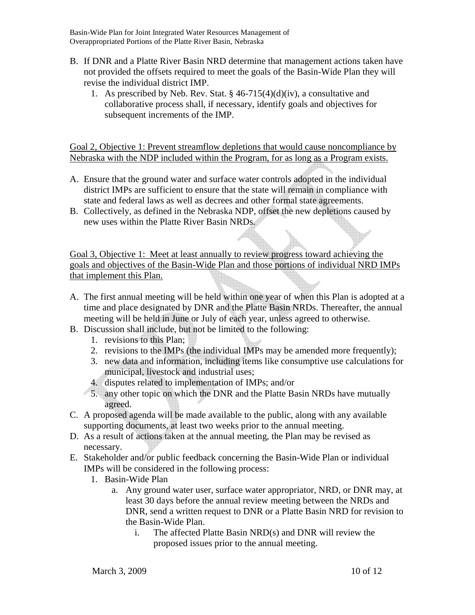- B. If DNR and a Platte River Basin NRD determine that management actions taken have not provided the offsets required to meet the goals of the Basin-Wide Plan they will revise the individual district IMP.
	- 1. As prescribed by Neb. Rev. Stat.  $\S$  46-715(4)(d)(iv), a consultative and collaborative process shall, if necessary, identify goals and objectives for subsequent increments of the IMP.

Goal 2, Objective 1: Prevent streamflow depletions that would cause noncompliance by Nebraska with the NDP included within the Program, for as long as a Program exists.

- A. Ensure that the ground water and surface water controls adopted in the individual district IMPs are sufficient to ensure that the state will remain in compliance with state and federal laws as well as decrees and other formal state agreements.
- B. Collectively, as defined in the Nebraska NDP, offset the new depletions caused by new uses within the Platte River Basin NRDs.

Goal 3, Objective 1: Meet at least annually to review progress toward achieving the goals and objectives of the Basin-Wide Plan and those portions of individual NRD IMPs that implement this Plan.

- A. The first annual meeting will be held within one year of when this Plan is adopted at a time and place designated by DNR and the Platte Basin NRDs. Thereafter, the annual meeting will be held in June or July of each year, unless agreed to otherwise.
- B. Discussion shall include, but not be limited to the following:
	- 1. revisions to this Plan;
	- 2. revisions to the IMPs (the individual IMPs may be amended more frequently);
	- 3. new data and information, including items like consumptive use calculations for municipal, livestock and industrial uses;
	- 4. disputes related to implementation of IMPs; and/or
	- 5. any other topic on which the DNR and the Platte Basin NRDs have mutually agreed.
- C. A proposed agenda will be made available to the public, along with any available supporting documents, at least two weeks prior to the annual meeting.
- D. As a result of actions taken at the annual meeting, the Plan may be revised as necessary.
- E. Stakeholder and/or public feedback concerning the Basin-Wide Plan or individual IMPs will be considered in the following process:
	- 1. Basin-Wide Plan
		- a. Any ground water user, surface water appropriator, NRD, or DNR may, at least 30 days before the annual review meeting between the NRDs and DNR, send a written request to DNR or a Platte Basin NRD for revision to the Basin-Wide Plan.
			- i. The affected Platte Basin NRD(s) and DNR will review the proposed issues prior to the annual meeting.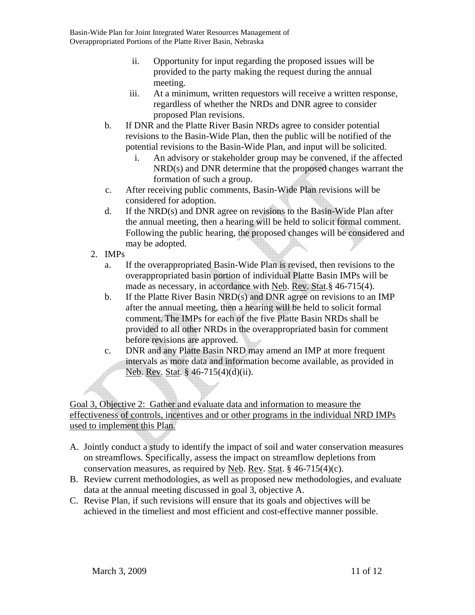- ii. Opportunity for input regarding the proposed issues will be provided to the party making the request during the annual meeting.
- iii. At a minimum, written requestors will receive a written response, regardless of whether the NRDs and DNR agree to consider proposed Plan revisions.
- b. If DNR and the Platte River Basin NRDs agree to consider potential revisions to the Basin-Wide Plan, then the public will be notified of the potential revisions to the Basin-Wide Plan, and input will be solicited.
	- i. An advisory or stakeholder group may be convened, if the affected NRD(s) and DNR determine that the proposed changes warrant the formation of such a group.
- c. After receiving public comments, Basin-Wide Plan revisions will be considered for adoption.
- d. If the NRD(s) and DNR agree on revisions to the Basin-Wide Plan after the annual meeting, then a hearing will be held to solicit formal comment. Following the public hearing, the proposed changes will be considered and may be adopted.
- 2. IMPs
	- a. If the overappropriated Basin-Wide Plan is revised, then revisions to the overappropriated basin portion of individual Platte Basin IMPs will be made as necessary, in accordance with Neb. Rev. Stat.§ 46-715(4).
	- b. If the Platte River Basin NRD(s) and DNR agree on revisions to an IMP after the annual meeting, then a hearing will be held to solicit formal comment. The IMPs for each of the five Platte Basin NRDs shall be provided to all other NRDs in the overappropriated basin for comment before revisions are approved.
	- c. DNR and any Platte Basin NRD may amend an IMP at more frequent intervals as more data and information become available, as provided in Neb. Rev. Stat. § 46-715(4)(d)(ii).

Goal 3, Objective 2: Gather and evaluate data and information to measure the effectiveness of controls, incentives and or other programs in the individual NRD IMPs used to implement this Plan.

- A. Jointly conduct a study to identify the impact of soil and water conservation measures on streamflows. Specifically, assess the impact on streamflow depletions from conservation measures, as required by Neb. Rev. Stat.  $\S$  46-715(4)(c).
- B. Review current methodologies, as well as proposed new methodologies, and evaluate data at the annual meeting discussed in goal 3, objective A.
- C. Revise Plan, if such revisions will ensure that its goals and objectives will be achieved in the timeliest and most efficient and cost-effective manner possible.